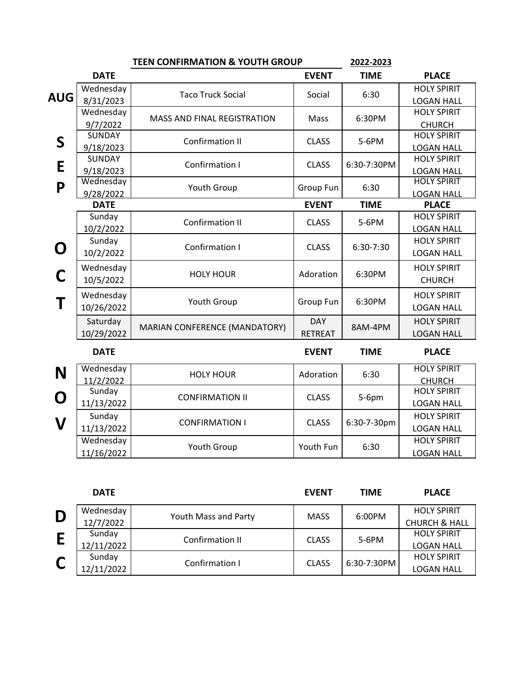|            | <b>TEEN CONFIRMATION &amp; YOUTH GROUP</b> |                               |                | 2022-2023   |                                     |
|------------|--------------------------------------------|-------------------------------|----------------|-------------|-------------------------------------|
|            | <b>DATE</b>                                |                               | <b>EVENT</b>   | <b>TIME</b> | <b>PLACE</b>                        |
|            | Wednesday                                  | <b>Taco Truck Social</b>      |                |             | <b>HOLY SPIRIT</b>                  |
| <b>AUG</b> | 8/31/2023                                  |                               | Social         | 6:30        | <b>LOGAN HALL</b>                   |
|            | Wednesday                                  | MASS AND FINAL REGISTRATION   | Mass           | 6:30PM      | <b>HOLY SPIRIT</b>                  |
|            | 9/7/2022                                   |                               |                |             | <b>CHURCH</b>                       |
| S          | <b>SUNDAY</b>                              | Confirmation II               | <b>CLASS</b>   | 5-6PM       | <b>HOLY SPIRIT</b>                  |
|            | 9/18/2023                                  |                               |                |             | <b>LOGAN HALL</b>                   |
| E          | <b>SUNDAY</b>                              | Confirmation I                | <b>CLASS</b>   | 6:30-7:30PM | <b>HOLY SPIRIT</b>                  |
|            | 9/18/2023                                  |                               |                |             | <b>LOGAN HALL</b>                   |
| P          | Wednesday                                  | Youth Group                   | Group Fun      | 6:30        | <b>HOLY SPIRIT</b>                  |
|            | 9/28/2022                                  |                               |                |             | <b>LOGAN HALL</b>                   |
|            | <b>DATE</b>                                |                               | <b>EVENT</b>   | <b>TIME</b> | <b>PLACE</b>                        |
|            | Sunday                                     | <b>Confirmation II</b>        | <b>CLASS</b>   | 5-6PM       | <b>HOLY SPIRIT</b>                  |
|            | 10/2/2022                                  |                               | <b>CLASS</b>   | 6:30-7:30   | <b>LOGAN HALL</b>                   |
| O          | Sunday                                     | Confirmation I                |                |             | <b>HOLY SPIRIT</b>                  |
|            | 10/2/2022                                  |                               |                |             | <b>LOGAN HALL</b>                   |
| C          | Wednesday                                  | <b>HOLY HOUR</b>              | Adoration      | 6:30PM      | <b>HOLY SPIRIT</b>                  |
|            | 10/5/2022                                  |                               |                |             | <b>CHURCH</b>                       |
|            | Wednesday                                  |                               |                |             | <b>HOLY SPIRIT</b>                  |
|            | 10/26/2022                                 | Youth Group                   | Group Fun      | 6:30PM      | <b>LOGAN HALL</b>                   |
|            | Saturday                                   |                               | <b>DAY</b>     |             | <b>HOLY SPIRIT</b>                  |
|            | 10/29/2022                                 | MARIAN CONFERENCE (MANDATORY) | <b>RETREAT</b> | 8AM-4PM     | <b>LOGAN HALL</b>                   |
|            | <b>DATE</b>                                |                               | <b>EVENT</b>   | <b>TIME</b> | <b>PLACE</b>                        |
|            |                                            |                               |                |             |                                     |
| N          | Wednesday                                  | <b>HOLY HOUR</b>              | Adoration      | 6:30        | <b>HOLY SPIRIT</b>                  |
|            | 11/2/2022<br>Sunday                        |                               | <b>CLASS</b>   | 5-6pm       | <b>CHURCH</b><br><b>HOLY SPIRIT</b> |
| O          |                                            | <b>CONFIRMATION II</b>        |                |             | <b>LOGAN HALL</b>                   |
|            | 11/13/2022                                 |                               |                |             |                                     |
| V          | Sunday                                     | <b>CONFIRMATION I</b>         | <b>CLASS</b>   | 6:30-7-30pm | <b>HOLY SPIRIT</b>                  |
|            | 11/13/2022                                 |                               |                |             | <b>LOGAN HALL</b>                   |
|            | Wednesday                                  | Youth Group                   | Youth Fun      | 6:30        | <b>HOLY SPIRIT</b>                  |
|            | 11/16/2022                                 |                               |                |             | <b>LOGAN HALL</b>                   |

|   | <b>DATE</b> |                      | <b>EVENT</b> | <b>TIME</b>   | <b>PLACE</b>             |
|---|-------------|----------------------|--------------|---------------|--------------------------|
| D | Wednesday   | Youth Mass and Party | <b>MASS</b>  | 6:00PM        | <b>HOLY SPIRIT</b>       |
|   | 12/7/2022   |                      |              |               | <b>CHURCH &amp; HALL</b> |
|   | Sunday      | Confirmation II      | <b>CLASS</b> | 5-6PM         | <b>HOLY SPIRIT</b>       |
|   | 12/11/2022  |                      |              |               | <b>LOGAN HALL</b>        |
|   | Sunday      | Confirmation I       | <b>CLASS</b> | $6:30-7:30PM$ | <b>HOLY SPIRIT</b>       |
|   | 12/11/2022  |                      |              |               | <b>LOGAN HALL</b>        |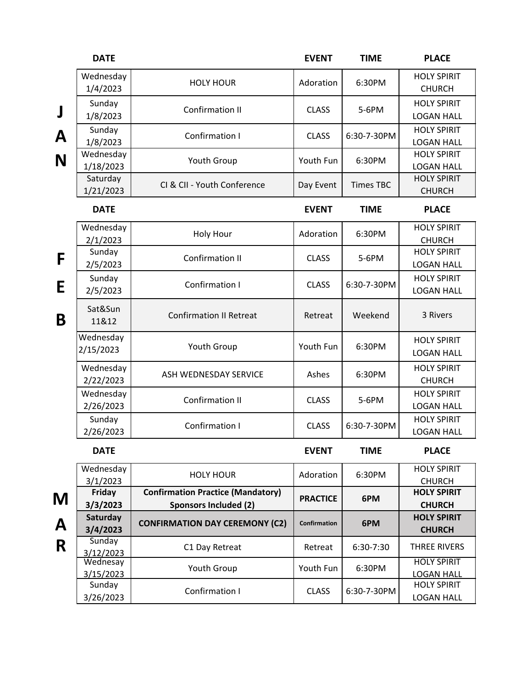|   | <b>DATE</b>            |                                                                          | <b>EVENT</b>        | <b>TIME</b>      | <b>PLACE</b>                            |
|---|------------------------|--------------------------------------------------------------------------|---------------------|------------------|-----------------------------------------|
|   | Wednesday<br>1/4/2023  | <b>HOLY HOUR</b>                                                         | Adoration           | 6:30PM           | <b>HOLY SPIRIT</b><br><b>CHURCH</b>     |
| J | Sunday<br>1/8/2023     | <b>Confirmation II</b>                                                   | <b>CLASS</b>        | 5-6PM            | <b>HOLY SPIRIT</b><br><b>LOGAN HALL</b> |
| A | Sunday<br>1/8/2023     | Confirmation I                                                           | <b>CLASS</b>        | 6:30-7-30PM      | <b>HOLY SPIRIT</b><br><b>LOGAN HALL</b> |
| N | Wednesday<br>1/18/2023 | Youth Group                                                              | Youth Fun           | 6:30PM           | <b>HOLY SPIRIT</b><br><b>LOGAN HALL</b> |
|   | Saturday<br>1/21/2023  | CI & CII - Youth Conference                                              | Day Event           | <b>Times TBC</b> | <b>HOLY SPIRIT</b><br><b>CHURCH</b>     |
|   | <b>DATE</b>            |                                                                          | <b>EVENT</b>        | <b>TIME</b>      | <b>PLACE</b>                            |
|   | Wednesday<br>2/1/2023  | Holy Hour                                                                | Adoration           | 6:30PM           | <b>HOLY SPIRIT</b><br><b>CHURCH</b>     |
| F | Sunday<br>2/5/2023     | <b>Confirmation II</b>                                                   | <b>CLASS</b>        | 5-6PM            | <b>HOLY SPIRIT</b><br><b>LOGAN HALL</b> |
| E | Sunday<br>2/5/2023     | Confirmation I                                                           | <b>CLASS</b>        | 6:30-7-30PM      | <b>HOLY SPIRIT</b><br><b>LOGAN HALL</b> |
| B | Sat&Sun<br>11&12       | <b>Confirmation II Retreat</b>                                           | Retreat             | Weekend          | 3 Rivers                                |
|   | Wednesday<br>2/15/2023 | Youth Group                                                              | Youth Fun           | 6:30PM           | <b>HOLY SPIRIT</b><br><b>LOGAN HALL</b> |
|   | Wednesday<br>2/22/2023 | ASH WEDNESDAY SERVICE                                                    | Ashes               | 6:30PM           | <b>HOLY SPIRIT</b><br><b>CHURCH</b>     |
|   | Wednesday<br>2/26/2023 | <b>Confirmation II</b>                                                   | <b>CLASS</b>        | 5-6PM            | <b>HOLY SPIRIT</b><br><b>LOGAN HALL</b> |
|   | Sunday<br>2/26/2023    | <b>Confirmation I</b>                                                    | <b>CLASS</b>        | 6:30-7-30PM      | <b>HOLY SPIRIT</b><br><b>LOGAN HALL</b> |
|   | <b>DATE</b>            |                                                                          | <b>EVENT</b>        | <b>TIME</b>      | <b>PLACE</b>                            |
|   | Wednesday<br>3/1/2023  | <b>HOLY HOUR</b>                                                         | Adoration           | 6:30PM           | <b>HOLY SPIRIT</b><br><b>CHURCH</b>     |
| M | Friday<br>3/3/2023     | <b>Confirmation Practice (Mandatory)</b><br><b>Sponsors Included (2)</b> | <b>PRACTICE</b>     | 6PM              | <b>HOLY SPIRIT</b><br><b>CHURCH</b>     |
| A | Saturday<br>3/4/2023   | <b>CONFIRMATION DAY CEREMONY (C2)</b>                                    | <b>Confirmation</b> | 6PM              | <b>HOLY SPIRIT</b><br><b>CHURCH</b>     |
| R | Sunday<br>3/12/2023    | C1 Day Retreat                                                           | Retreat             | 6:30-7:30        | <b>THREE RIVERS</b>                     |
|   | Wednesay<br>3/15/2023  | Youth Group                                                              | Youth Fun           | 6:30PM           | <b>HOLY SPIRIT</b><br><b>LOGAN HALL</b> |
|   | Sunday<br>3/26/2023    | Confirmation I                                                           | <b>CLASS</b>        | 6:30-7-30PM      | <b>HOLY SPIRIT</b><br><b>LOGAN HALL</b> |